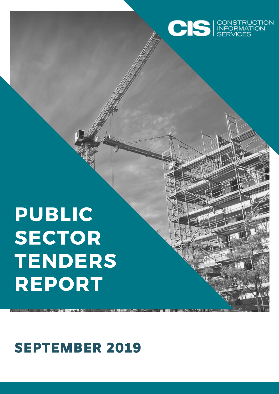

# PUBLIC SECTOR TENDERS REPORT

SEPTEMBER 2019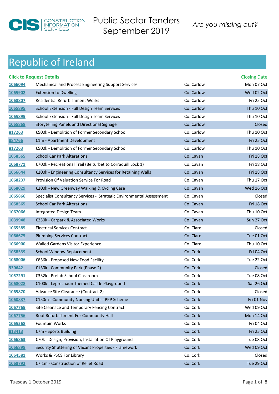

### *Are you [missing out?](http://www.cisireland.com)* Public Sector Tenders September 2019

|         | <b>Click to Request Details</b>                                      |            | <b>Closing Date</b> |
|---------|----------------------------------------------------------------------|------------|---------------------|
| 1066094 | Mechanical and Process Engineering Support Services                  | Co. Carlow | Mon 07 Oct          |
| 1065902 | <b>Extension to Dwelling</b>                                         | Co. Carlow | Wed 02 Oct          |
| 1068807 | <b>Residential Refurbishment Works</b>                               | Co. Carlow | Fri 25 Oct          |
| 1065895 | School Extension - Full Design Team Services                         | Co. Carlow | Thu 10 Oct          |
| 1065895 | School Extension - Full Design Team Services                         | Co. Carlow | Thu 10 Oct          |
| 1065868 | Storytelling Panels and Directional Signage                          | Co. Carlow | Closed              |
| 817263  | €500k - Demolition of Former Secondary School                        | Co. Carlow | Thu 10 Oct          |
| 884766  | €1m - Apartment Development                                          | Co. Carlow | Fri 25 Oct          |
| 817263  | €500k - Demolition of Former Secondary School                        | Co. Carlow | Thu 10 Oct          |
| 1058565 | <b>School Car Park Alterations</b>                                   | Co. Cavan  | Fri 18 Oct          |
| 1068771 | €700k - Recreational Trail (Belturbet to Corraquill Lock 1)          | Co. Cavan  | Fri 18 Oct          |
| 1066644 | €200k - Engineering Consultancy Services for Retaining Walls         | Co. Cavan  | Fri 18 Oct          |
| 1068237 | Provision Of Valuation Service For Road                              | Co. Cavan  | Thu 17 Oct          |
| 1068029 | €200k - New Greenway Walking & Cycling Case                          | Co. Cavan  | Wed 16 Oct          |
| 1065866 | Specialist Consultancy Services - Strategic Environmental Assessment | Co. Cavan  | Closed              |
| 1058565 | <b>School Car Park Alterations</b>                                   | Co. Cavan  | Fri 18 Oct          |
| 1067066 | Integrated Design Team                                               | Co. Cavan  | Thu 10 Oct          |
| 1039948 | €250k - Carpark & Associated Works                                   | Co. Cavan  | Sun 27 Oct          |
| 1065585 | <b>Electrical Services Contract</b>                                  | Co. Clare  | Closed              |
| 1066675 | <b>Plumbing Services Contract</b>                                    | Co. Clare  | Tue 01 Oct          |
| 1066900 | <b>Walled Gardens Visitor Experience</b>                             | Co. Clare  | Thu 10 Oct          |
| 1058539 | <b>School Window Replacement</b>                                     | Co. Cork   | Fri 04 Oct          |
| 1068006 | €856k - Proposed New Food Facility                                   | Co. Cork   | Tue 22 Oct          |
| 930642  | €130k - Community Park (Phase 2)                                     | Co. Cork   | Closed              |
| 1057291 | €332k - Prefab School Classroom                                      | Co. Cork   | Tue 08 Oct          |
| 1068028 | €100k - Leprechaun Themed Castle Playground                          | Co. Cork   | Sat 26 Oct          |
| 1065870 | Advance Site Clearance (Contract 2)                                  | Co. Cork   | Closed              |
| 1060837 | €150m - Community Nursing Units - PPP Scheme                         | Co. Cork   | Fri 01 Nov          |
| 1067765 | Site Cleanace and Temporary Fencing Contract                         | Co. Cork   | Wed 09 Oct          |
| 1067756 | Roof Refurbishment For Community Hall                                | Co. Cork   | Mon 14 Oct          |
| 1065568 | Fountain Works                                                       | Co. Cork   | Fri 04 Oct          |
| 813413  | €7m - Sports Building                                                | Co. Cork   | Fri 25 Oct          |
| 1066863 | €70k - Design, Provision, Installation Of Playground                 | Co. Cork   | Tue 08 Oct          |
| 1066898 | Security Shuttering of Vacant Properties - Framework                 | Co. Cork   | Wed 09 Oct          |
| 1064581 | Works & PSCS For Library                                             | Co. Cork   | Closed              |
| 1068792 | €7.1m - Construction of Relief Road                                  | Co. Cork   | Tue 29 Oct          |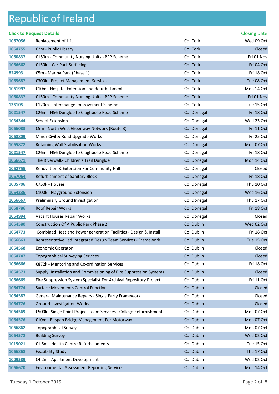#### **Click to Request Details Closing Date** Closing Date **Closing Date** Closing Date Closing Date Closing Date Closing Date Replacement of Lift Co. Cork Co. Cork Wed 09 Oct €2m - Public Library Co. Cork Closed €150m - Community Nursing Units - PPP Scheme Co. Cork Co. Cork Fri 01 Nov €150k - Car Park Surfacing Co. Cork **Co. Cork Fri 04 Oct** Fri 04 Oct Cork Fri 04 Oct Cork Fri 04 Oct Cork Fri 04 Oct Cork Fri 04 Oct Cork Fri 04 Oct Cork Fri 04 Oct Cork Fri 04 Oct Cork Fri 04 Oct Cork Fri 04 Oc €5m - Marina Park (Phase 1) Co. Cork Co. Cork Fri 18 Oct €300k - Project Management Services Communication Co. Cork Co. Cork Tue 08 Oct €10m - Hospital Extension and Refurbishment Co. Cork Co. Cork Mon 14 Oct €150m - Community Nursing Units - PPP Scheme Co. Cork Co. Cork Fri 01 Nov €120m - Interchange Improvement Scheme Co. Cork Co. Cork Tue 15 Oct €26m - N56 Dungloe to Cloghbolie Road Scheme Co. Donegal Co. Donegal Fri 18 Oct School Extension Co. Donegal Wed 23 Oct €5m - North West Greenway Network (Route 3) Co. Donegal Eri 11 Oct Minor Civil & Road Upgrade Works **Co. 2008** Co. Donegal Fri 25 Oct 11 Apr 25 Oct 1068809 Retaining Wall Stabilisation Works **Co. Donegal Mon 07 Oct 31 August** 2012 12:00 Mon 07 Oct 31 August 201 €26m - N56 Dungloe to Cloghbolie Road Scheme Co. Donegal Co. Donegal Fri 18 Oct The Riverwalk- Children's Trail Dungloe Co. Co. Donegal Co. Donegal Mon 14 Oct Renovation & Extension For Community Hall Co. Donegal Closed Refurbishment of Sanitary Block Co. Donegal **Co. Donegal Fri 18 Oct**  €750k - Houses Co. Donegal Thu 10 Oct €100k - Playground Extension Co. Donegal Co. Donegal Wed 16 Oct Preliminary Ground Investigation Co. Donegal Thu 17 Oct Roof Repair Works Co. Donegal Fri 18 Oct  **•• Vacant Houses Repair Works Co. 2008 •• Co. Donegal Closed Co. Donegal Closed Closed Closed Closed**  Construction Of A Public Park Phase 2 Co. Dublin Wed 02 Oct Combined Heat and Power generation Facilities - Design & Install Co. Dublin Fri 18 Oct Representative Led Integrated Design Team Services - Framework Co. Dublin Tue 15 Oct Economic Operator Co. Dublin Closed Co. Dublin Closed Topographical Surveying Services Co. 2008 Co. Dublin Co. Dublin Co. Dublin Closed €872k - Mentoring and Co-ordination Services Co. Dublin Co. Dublin Fri 18 Oct Supply, Installation and Commissioning of Fire Suppression Systems Co. Dublin Co. Dublin Fire Suppression System Specialist For Archival Repository Project Co. Dublin Fri 11 Oct Surface Movements Control Function Co. Dublin Closed General Maintenance Repairs - Single Party Framework Co. Dublin Closed Ground Investigation Works **Co. 2006** Co. Dublin Closed Co. Dublin Closed €500k - Single Point Project Team Services - College Refurbishment Co. Dublin Mon 07 Oct €10m - Eirspan Bridge Management For Motorway Co. Dublin Co. Dublin Mon 07 Oct Topographical Surveys **Co. Dublin** Co. Dublin Mon 07 Oct 06: Dublin Mon 07 Oct 06: Dublin Mon 07 Oct 06: Dublin Mon 07 Oct 06: Dublin Mon 07 Oct 06: Dublin Mon 07 Oct 06: Dublin Mon 07 Oct 06: Dublin Mon 07 Oct 0 Building Survey **Co. Dublin** Wed 02 Oct 2014 1064572 €1.5m - Health Centre Refurbishments Co. Dublin Tue 15 Oct Feasibility Study Co. Dublin Thu 17 Oct €4.2m - Apartment Development Co. Dublin Wed 02 Oct Environmental Assessment Reporting Services Co. Dublin Co. Dublin Mon 14 Oct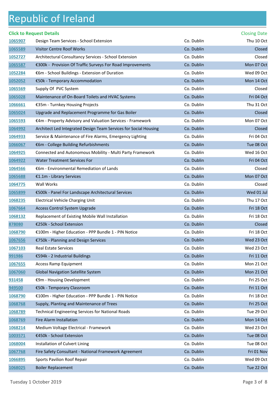#### **Click to Request Details** Closing Date Closing Date

| 1065907 | Design Team Services - School Extension                          | Co. Dublin | Thu 10 Oct |
|---------|------------------------------------------------------------------|------------|------------|
| 1065589 | <b>Visitor Centre Roof Works</b>                                 | Co. Dublin | Closed     |
| 1052727 | Architectural Consultancy Services - School Extension            | Co. Dublin | Closed     |
| 1065587 | €300k - Provision Of Traffic Surveys For Road Improvements       | Co. Dublin | Mon 07 Oct |
| 1052284 | €6m - School Buildings - Extension of Duration                   | Co. Dublin | Wed 09 Oct |
| 1052052 | €50k - Temporary Accommodation                                   | Co. Dublin | Mon 14 Oct |
| 1065569 | Supply Of PVC System                                             | Co. Dublin | Closed     |
| 1065028 | Maintenance of On-Board Toilets and HVAC Systems                 | Co. Dublin | Fri 04 Oct |
| 1066661 | €35m - Turnkey Housing Projects                                  | Co. Dublin | Thu 31 Oct |
| 1065024 | Upgrade and Replacement Programme for Gas Boiler                 | Co. Dublin | Closed     |
| 1065593 | €4m - Property Advisory and Valuation Services - Framework       | Co. Dublin | Mon 07 Oct |
| 1064992 | Architect Led Integrated Design Team Services for Social Housing | Co. Dublin | Closed     |
| 1064933 | Service & Maintenance of Fire Alarms, Emergency Lighting         | Co. Dublin | Fri 04 Oct |
| 1066067 | €6m - College Building Refurbishments                            | Co. Dublin | Tue 08 Oct |
| 1064925 | Connected and Autonomous Mobility - Multi Party Framework        | Co. Dublin | Wed 16 Oct |
| 1064922 | <b>Water Treatment Services For</b>                              | Co. Dublin | Fri 04 Oct |
| 1064566 | €6m - Environmental Remediation of Lands                         | Co. Dublin | Closed     |
| 1065688 | €1.1m - Library Services                                         | Co. Dublin | Mon 07 Oct |
| 1064775 | Wall Works                                                       | Co. Dublin | Closed     |
| 1065899 | €500k - Panel For Landscape Architectural Services               | Co. Dublin | Wed 01 Jul |
| 1068235 | Electrical Vehicle Charging Unit                                 | Co. Dublin | Thu 17 Oct |
| 1067664 | Access Control System Upgrade                                    | Co. Dublin | Fri 18 Oct |
| 1068132 | Replacement of Existing Mobile Wall Installation                 | Co. Dublin | Fri 18 Oct |
| 878080  | €250k - School Extension                                         | Co. Dublin | Closed     |
| 1068790 | €100m - Higher Education - PPP Bundle 1 - PIN Notice             | Co. Dublin | Fri 18 Oct |
| 1067656 | €750k - Planning and Design Services                             | Co. Dublin | Wed 23 Oct |
| 1067103 | Real Estate Services                                             | Co. Dublin | Wed 23 Oct |
| 991986  | €594k - 2 Industrial Buildings                                   | Co. Dublin | Fri 11 Oct |
| 1067655 | <b>Access Ramp Equipment</b>                                     | Co. Dublin | Mon 21 Oct |
| 1067060 | <b>Global Navigation Satellite System</b>                        | Co. Dublin | Mon 21 Oct |
| 931458  | €9m - Housing Development                                        | Co. Dublin | Fri 25 Oct |
| 949500  | €50k - Temporary Classroom                                       | Co. Dublin | Fri 11 Oct |
| 1068790 | €100m - Higher Education - PPP Bundle 1 - PIN Notice             | Co. Dublin | Fri 18 Oct |
| 1068768 | Supply, Planting and Maintenance of Trees                        | Co. Dublin | Fri 25 Oct |
| 1068789 | <b>Technical Engineering Services for National Roads</b>         | Co. Dublin | Tue 29 Oct |
| 1068769 | Fire Alarm Installation                                          | Co. Dublin | Mon 14 Oct |
| 1068214 | Medium Voltage Electrical - Framework                            | Co. Dublin | Wed 23 Oct |
| 1003571 | €450k - School Extension                                         | Co. Dublin | Tue 08 Oct |
| 1068004 | Installation of Culvert Lining                                   | Co. Dublin | Tue 08 Oct |
| 1067768 | Fire Safety Consultant - National Framework Agreement            | Co. Dublin | Fri 01 Nov |
| 1066895 | Sports Pavilion Roof Repair                                      | Co. Dublin | Wed 09 Oct |
| 1068025 | <b>Boiler Replacement</b>                                        | Co. Dublin | Tue 22 Oct |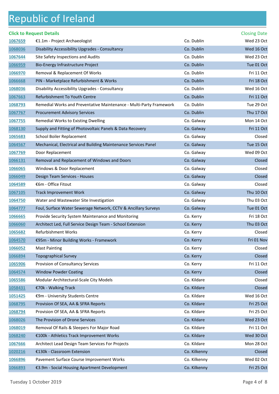|         | <b>Click to Request Details</b>                                     |              | <b>Closing Date</b> |
|---------|---------------------------------------------------------------------|--------------|---------------------|
| 1067659 | €1.1m - Project Archaeologist                                       | Co. Dublin   | Wed 23 Oct          |
| 1068036 | Disability Accessibility Upgrades - Consultancy                     | Co. Dublin   | Wed 16 Oct          |
| 1067644 | Site Safety Inspections and Audits                                  | Co. Dublin   | Wed 23 Oct          |
| 1066959 | Bio-Energy Infrastructure Project                                   | Co. Dublin   | Tue 01 Oct          |
| 1066970 | Removal & Replacement Of Works                                      | Co. Dublin   | Fri 11 Oct          |
| 1066668 | PIN - Marketplace Refurbishment & Works                             | Co. Dublin   | Fri 18 Oct          |
| 1068036 | Disability Accessibility Upgrades - Consultancy                     | Co. Dublin   | Wed 16 Oct          |
| 1067663 | Refurbishment To Youth Centre                                       | Co. Dublin   | Fri 11 Oct          |
| 1068793 | Remedial Works and Preventative Maintenance - Multi-Party Framework | Co. Dublin   | Tue 29 Oct          |
| 1067767 | <b>Procurement Advisory Services</b>                                | Co. Dublin   | Thu 17 Oct          |
| 1067755 | Remedial Works to Existing Dwelling                                 | Co. Galway   | Mon 14 Oct          |
| 1068130 | Supply and Fitting of Photovoltaic Panels & Data Recovery           | Co. Galway   | Fri 11 Oct          |
| 1065683 | School Boiler Replacement                                           | Co. Galway   | Closed              |
| 1064567 | Mechanical, Electrical and Building Maintenance Services Panel      | Co. Galway   | Tue 15 Oct          |
| 1067769 | Door Replacement                                                    | Co. Galway   | Wed 09 Oct          |
| 1066131 | Removal and Replacement of Windows and Doors                        | Co. Galway   | Closed              |
| 1066065 | Windows & Door Replacement                                          | Co. Galway   | Closed              |
| 1066049 | Design Team Services - Houses                                       | Co. Galway   | Closed              |
| 1064589 | €6m - Office Fitout                                                 | Co. Galway   | Closed              |
| 1067105 | <b>Track Improvement Work</b>                                       | Co. Galway   | Thu 10 Oct          |
| 1064750 | Water and Wastewater Site Investigation                             | Co. Galway   | Thu 03 Oct          |
| 1064777 | Foul, Surface Water Sewerage Network, CCTV & Ancillary Surveys      | Co. Galway   | Tue 01 Oct          |
| 1066665 | Provide Security System Maintenance and Monitoring                  | Co. Kerry    | Fri 18 Oct          |
| 1066060 | Architect Led, Full Service Design Team - School Extension          | Co. Kerry    | Thu 03 Oct          |
| 1065682 | Refurbishment Works                                                 | Co. Kerry    | Closed              |
| 1064570 | €95m - Minor Building Works - Framework                             | Co. Kerry    | Fri 01 Nov          |
| 1066052 | <b>Mast Painting</b>                                                | Co. Kerry    | Closed              |
| 1066894 | <b>Topographical Survey</b>                                         | Co. Kerry    | Closed              |
| 1065906 | Provision of Consultancy Services                                   | Co. Kerry    | Fri 11 Oct          |
| 1064574 | <b>Window Powder Coating</b>                                        | Co. Kerry    | Closed              |
| 1065586 | Modular Architectural-Scale City Models                             | Co. Kildare  | Closed              |
| 1058431 | €70k - Walking Track                                                | Co. Kildare  | Closed              |
| 1051425 | €9m - University Students Centre                                    | Co. Kildare  | Wed 16 Oct          |
| 1068795 | Provision Of SEA, AA & SFRA Reports                                 | Co. Kildare  | Fri 25 Oct          |
| 1068794 | Provision Of SEA, AA & SFRA Reports                                 | Co. Kildare  | Fri 25 Oct          |
| 1068026 | The Provision of Drone Services                                     | Co. Kildare  | Wed 23 Oct          |
| 1068019 | Removal Of Rails & Sleepers For Major Road                          | Co. Kildare  | Fri 11 Oct          |
| 1068240 | €100k - Athletics Track Improvement Works                           | Co. Kildare  | Wed 30 Oct          |
| 1067666 | Architect Lead Design Team Services For Projects                    | Co. Kildare  | Mon 28 Oct          |
| 1020216 | €130k - Classroom Extension                                         | Co. Kilkenny | Closed              |
| 1066896 | Pavement Surface Course Improvement Works                           | Co. Kilkenny | Wed 02 Oct          |
| 1066893 | €3.9m - Social Housing Apartment Development                        | Co. Kilkenny | Fri 25 Oct          |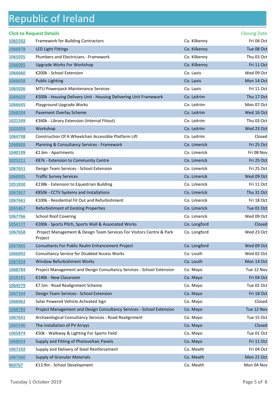|                | <b>Click to Request Details</b>                                                 |              | <b>Closing Date</b> |
|----------------|---------------------------------------------------------------------------------|--------------|---------------------|
| 1065592        | Framework for Building Contractors                                              | Co. Kilkenny | Fri 04 Oct          |
| 1066878        | <b>LED Light Fittings</b>                                                       | Co. Kilkenny | Tue 08 Oct          |
| 1065025        | Plumbers and Electricians - Framework                                           | Co. Kilkenny | Thu 03 Oct          |
| 1066095        | <b>Upgrade Works For Workshop</b>                                               | Co. Kilkenny | Fri 11 Oct          |
| 1066660        | €200k - School Extension                                                        | Co. Laois    | Wed 09 Oct          |
| 1066658        | <b>Public Lighting</b>                                                          | Co. Laois    | Mon 14 Oct          |
| 1065026        | MTU Powerpack Maintenance Services                                              | Co. Laois    | Fri 11 Oct          |
| 1066659        | €500k - Housing Delivery Unit - Housing Delivering Unit Framework               | Co. Leitrim  | Thu 17 Oct          |
| 1066645        | Playground Upgrade Works                                                        | Co. Leitrim  | Mon 07 Oct          |
| 1068204        | Pavement Overlay Scheme                                                         | Co. Leitrim  | Wed 16 Oct          |
| 1021549        | €360k - Library Extension (Internal Fitout)                                     | Co. Leitrim  | Thu 03 Oct          |
| 1023059        | Workshop                                                                        | Co. Leitrim  | Wed 23 Oct          |
| 1064748        | Construction Of A Wheelchair Accessible Platform Lift                           | Co. Leitrim  | Closed              |
| 1068808        | Planning & Consultancy Services - Framework                                     | Co. Limerick | Fri 25 Oct          |
| 1040199        | €2.6m - Apartments                                                              | Co. Limerick | Fri 08 Nov          |
| 1025211        | €87k - Extension to Community Centre                                            | Co. Limerick | Fri 25 Oct          |
| 1067651        | Design Team Services - School Extension                                         | Co. Limerick | Fri 25 Oct          |
| 1068005        | <b>Traffic Survey Services</b>                                                  | Co. Limerick | Wed 09 Oct          |
| 1051830        | €238k - Extension to Equestrian Building                                        | Co. Limerick | Fri 11 Oct          |
| 1067657        | €850k - CCTV Systems and Installations                                          | Co. Limerick | Thu 31 Oct          |
| <u>1067661</u> | €100k - Residential Fit Out and Refurbishment                                   | Co. Limerick | Fri 18 Oct          |
| 1065867        | Refurbishment of Existing Properties                                            | Co. Limerick | Tue 01 Oct          |
| 1067766        | <b>School Roof Covering</b>                                                     | Co. Limerick | Wed 09 Oct          |
| 1054177        | €200k - Sports Pitch, Sports Wall & Associated Works                            | Co. Longford | Closed              |
| 1067658        | Project Management & Design Team Services For Visitors Centre & Park<br>Proiect | Co. Longford | Wed 23 Oct          |
| 1067665        | <b>Consultants For Public Realm Enhancement Project</b>                         | Co. Longford | Wed 09 Oct          |
| 1066892        | <b>Consultancy Service for Disabled Access Works</b>                            | Co. Louth    | Wed 02 Oct          |
| 1067654        | Window Refurbishment Works                                                      | Co. Louth    | Mon 14 Oct          |
| 1068784        | Project Management and Design Consultancy Services - School Extension           | Co. Mayo     | Tue 12 Nov          |
| 1018191        | €140k - New Classroom                                                           | Co. Mayo     | Fri 04 Oct          |
| 1064579        | €7.5m - Road Realignment Scheme                                                 | Co. Mayo     | Tue 01 Oct          |
| 1067104        | Design Team Services - School Extension                                         | Co. Mayo     | Fri 18 Oct          |
| 1066062        | Solar Powered Vehicle Activated Sign                                            | Co. Mayo     | Closed              |
| 1068784        | Project Management and Design Consultancy Services - School Extension           | Co. Mayo     | Tue 12 Nov          |
| 1067641        | Archaeological Consultancy Services - Road Realignment                          | Co. Mayo     | Tue 15 Oct          |
| 1065590        | The installation of PV Arrays                                                   | Co. Mayo     | Closed              |
| 1065874        | €50k - Walkway & Lighting For Sports Field                                      | Co. Mayo     | Tue 01 Oct          |
| 1068024        | Supply and Fitting of Photovoltaic Panels                                       | Co. Mayo     | Fri 11 Oct          |
| 1067102        | Supply and Delivery of Steel Reinforcement                                      | Co. Meath    | Fri 04 Oct          |
| 1067660        | <b>Supply of Granular Materials</b>                                             | Co. Meath    | Mon 21 Oct          |
| 860767         | €13.9m - School Development                                                     | Co. Meath    | Mon 04 Nov          |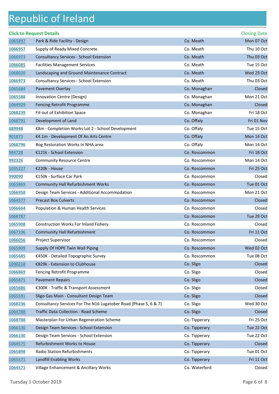|         | <b>Click to Request Details</b>                                  |               | <b>Closing Date</b> |
|---------|------------------------------------------------------------------|---------------|---------------------|
| 1065897 | Park & Ride Facility - Design                                    | Co. Meath     | Mon 07 Oct          |
| 1066957 | Supply of Ready Mixed Concrete                                   | Co. Meath     | Thu 10 Oct          |
| 1066973 | <b>Consultancy Services - School Extension</b>                   | Co. Meath     | Thu 03 Oct          |
| 1066085 | <b>Facilities Management Services</b>                            | Co. Meath     | Tue 15 Oct          |
| 1068020 | Landscaping and Ground Maintenance Contract                      | Co. Meath     | Wed 23 Oct          |
| 1066973 | Consultancy Services - School Extension                          | Co. Meath     | Thu 03 Oct          |
| 1065684 | Pavement Overlay                                                 | Co. Monaghan  | Closed              |
| 1065588 | Innovation Centre (Design)                                       | Co. Monaghan  | Mon 21 Oct          |
| 1064929 | Fencing Retrofit Programme                                       | Co. Monaghan  | Closed              |
| 1068239 | Fit-out of Exhibition Space                                      | Co. Monaghan  | Fri 18 Oct          |
| 1068791 | Development of Land                                              | Co. Offaly    | Fri 01 Nov          |
| 689948  | €8m - Completion Works Lot 2 - School Development                | Co. Offaly    | Tue 15 Oct          |
| 901873  | €4.1m - Development Of An Arts Centre                            | Co. Offaly    | Mon 14 Oct          |
| 1068796 | Bog Restoration Works In NHA area                                | Co. Offaly    | Mon 14 Oct          |
| 984728  | €121k - School Extension                                         | Co. Roscommon | Fri 18 Oct          |
| 992326  | <b>Community Resource Centre</b>                                 | Co. Roscommon | Mon 14 Oct          |
| 1035227 | €220k - House                                                    | Co. Roscommon | Fri 25 Oct          |
| 990090  | €150k - Surface Car Park                                         | Co. Roscommon | Closed              |
| 1065869 | <b>Community Hall Refurbishment Works</b>                        | Co. Roscommon | Tue 01 Oct          |
| 1066958 | Design Team Services - Additional Accommodation                  | Co. Roscommon | Mon 21 Oct          |
| 1064577 | <b>Precast Box Culverts</b>                                      | Co. Roscommon | Closed              |
| 1066664 | Population & Human Health Services                               | Co. Roscommon | Closed              |
| 1068787 |                                                                  | Co. Roscommon | Tue 29 Oct          |
| 1065908 | <b>Construction Works For Inland Fishery</b>                     | Co. Roscommon | Closed              |
| 1067106 | <b>Community Hall Refurbishment</b>                              | Co. Roscommon | Fri 11 Oct          |
| 1066056 | Project Supervisor                                               | Co. Roscommon | Closed              |
| 1065909 | Supply Of HDPE Twin Wall Piping                                  | Co. Roscommon | Wed 02 Oct          |
| 1065685 | €450K - Detailed Topographic Survey                              | Co. Roscommon | Tue 08 Oct          |
| 1040218 | €829k - Extension to Clubhouse                                   | Co. Sligo     | Closed              |
| 1066869 | Fencing Retrofit Programme                                       | Co. Sligo     | Closed              |
| 1065871 | <b>Pavement Repairs</b>                                          | Co. Sligo     | Closed              |
| 1065686 | €300K - Traffic & Transport Assessment                           | Co. Sligo     | Closed              |
| 1065591 | Sligo Gas Main - Consultant Design Team                          | Co. Sligo     | Closed              |
| 1068236 | Consultancy Services For The N16 Lugatober Road (Phase 5, 6 & 7) | Co. Sligo     | Wed 30 Oct          |
| 1064788 | Traffic Data Collection - Road Scheme                            | Co. Sligo     | Closed              |
| 1068788 | Masterplan For Urban Regeneration Scheme                         | Co. Tipperary | Fri 25 Oct          |
| 1066130 | Design Team Services - School Extension                          | Co. Tipperary | Tue 22 Oct          |
| 1066130 | Design Team Services - School Extension                          | Co. Tipperary | Tue 22 Oct          |
| 1064575 | Refurbishment Works to House                                     | Co. Tipperary | Closed              |
| 1065898 | Radio Station Refurbishments                                     | Co. Tipperary | Tue 01 Oct          |
| 1065571 | <b>Landfill Enabling Works</b>                                   | Co. Tipperary | Fri 11 Oct          |
| 1064571 | Village Enhancement & Ancillary Works                            | Co. Waterford | Closed              |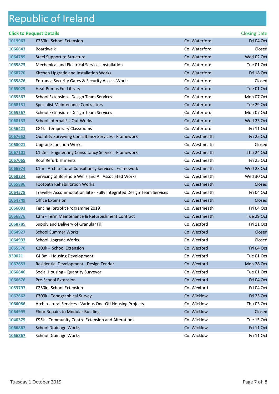|                | <b>Click to Request Details</b>                                      |               | <b>Closing Date</b> |
|----------------|----------------------------------------------------------------------|---------------|---------------------|
| 1019963        | €250k - School Extension                                             | Co. Waterford | Fri 04 Oct          |
| 1066643        | Boardwalk                                                            | Co. Waterford | Closed              |
| 1064789        | Steel Support to Structure                                           | Co. Waterford | Wed 02 Oct          |
| 1065873        | Mechanical and Electrical Services Installation                      | Co. Waterford | Tue 01 Oct          |
| 1068770        | Kitchen Upgrade and Installation Works                               | Co. Waterford | Fri 18 Oct          |
| 1065876        | <b>Entrance Security Gates &amp; Security Access Works</b>           | Co. Waterford | Closed              |
| 1065029        | Heat Pumps For Library                                               | Co. Waterford | Tue 01 Oct          |
| 1065567        | School Extension - Design Team Services                              | Co. Waterford | Mon 07 Oct          |
| 1068131        | <b>Specialist Maintenance Contractors</b>                            | Co. Waterford | Tue 29 Oct          |
| <u>1065567</u> | School Extension - Design Team Services                              | Co. Waterford | Mon 07 Oct          |
| 1068133        | School Internal Fit-Out Works                                        | Co. Waterford | Wed 23 Oct          |
| 1056421        | €81k - Temporary Classrooms                                          | Co. Waterford | Fri 11 Oct          |
| 1067652        | <b>Quantity Surveying Consultancy Services - Framework</b>           | Co. Westmeath | Fri 25 Oct          |
| 1068021        | <b>Upgrade Junction Works</b>                                        | Co. Westmeath | Closed              |
| 1067101        | €1.2m - Engineering Consultancy Service - Framework                  | Co. Westmeath | Thu 24 Oct          |
| 1067065        | Roof Refurbishments                                                  | Co. Westmeath | Fri 25 Oct          |
| 1066974        | €1m - Architectural Consultancy Services - Framework                 | Co. Westmeath | Wed 23 Oct          |
| 1068234        | Servicing of Borehole Wells and All Associated Works                 | Co. Westmeath | Wed 30 Oct          |
| 1065896        | <b>Footpath Rehabilitation Works</b>                                 | Co. Westmeath | Closed              |
| 1064578        | Traveller Accommodation Site - Fully Integrated Design Team Services | Co. Westmeath | Fri 04 Oct          |
| 1064749        | <b>Office Extension</b>                                              | Co. Westmeath | Closed              |
| 1066093        | Fencing Retrofit Programme 2019                                      | Co. Westmeath | Fri 04 Oct          |
| 1066876        | €2m - Term Maintenance & Refurbishment Contract                      | Co. Westmeath | Tue 29 Oct          |
| 1068785        | Supply and Delivery of Granular Fill                                 | Co. Wexford   | Fri 11 Oct          |
| 1064927        | <b>School Summer Works</b>                                           | Co. Wexford   | Closed              |
| 1064993        | School Upgrade Works                                                 | Co. Wexford   | Closed              |
| 1065570        | €200k - School Extension                                             | Co. Wexford   | Fri 04 Oct          |
| 930021         | €4.8m - Housing Development                                          | Co. Wexford   | Tue 01 Oct          |
| 1067653        | Residential Development - Design Tender                              | Co. Wexford   | Mon 28 Oct          |
| 1066646        | Social Housing - Quantity Surveyor                                   | Co. Wexford   | Tue 01 Oct          |
| 1066676        | <b>Pre-School Extension</b>                                          | Co. Wexford   | Fri 04 Oct          |
| 1053797        | €250k - School Extension                                             | Co. Wexford   | Fri 04 Oct          |
| 1067662        | €300k - Topographical Survey                                         | Co. Wicklow   | Fri 25 Oct          |
| 1066086        | Architectural Services - Various One-Off Housing Projects            | Co. Wicklow   | Thu 03 Oct          |
| 1064995        | Floor Repairs to Modular Building                                    | Co. Wicklow   | Closed              |
| 1040375        | €95k - Community Centre Extension and Alterations                    | Co. Wicklow   | Tue 15 Oct          |
| 1066867        | <b>School Drainage Works</b>                                         | Co. Wicklow   | Fri 11 Oct          |
| 1066867        | <b>School Drainage Works</b>                                         | Co. Wicklow   | Fri 11 Oct          |